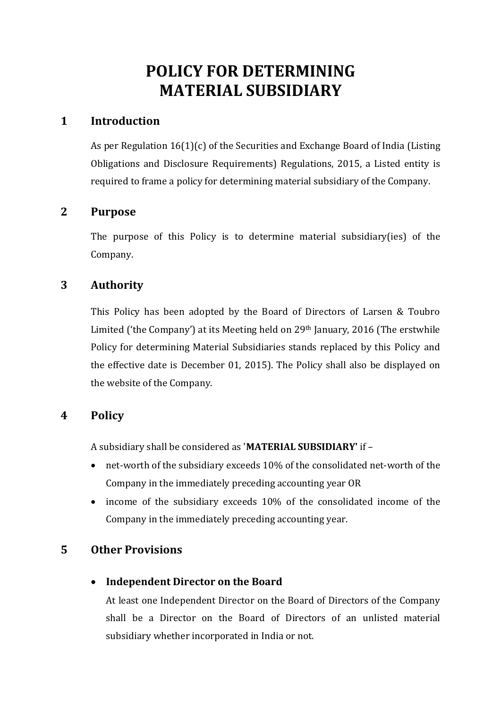# **POLICY FOR DETERMINING MATERIAL SUBSIDIARY**

## **1 Introduction**

As per Regulation 16(1)(c) of the Securities and Exchange Board of India (Listing Obligations and Disclosure Requirements) Regulations, 2015, a Listed entity is required to frame a policy for determining material subsidiary of the Company.

## **2 Purpose**

The purpose of this Policy is to determine material subsidiary(ies) of the Company.

## **3 Authority**

This Policy has been adopted by the Board of Directors of Larsen & Toubro Limited ('the Company') at its Meeting held on 29th January, 2016 (The erstwhile Policy for determining Material Subsidiaries stands replaced by this Policy and the effective date is December 01, 2015). The Policy shall also be displayed on the website of the Company.

# **4 Policy**

A subsidiary shall be considered as '**MATERIAL SUBSIDIARY'** if –

- net-worth of the subsidiary exceeds 10% of the consolidated net-worth of the Company in the immediately preceding accounting year OR
- income of the subsidiary exceeds 10% of the consolidated income of the Company in the immediately preceding accounting year.

# **5 Other Provisions**

• **Independent Director on the Board**

At least one Independent Director on the Board of Directors of the Company shall be a Director on the Board of Directors of an unlisted material subsidiary whether incorporated in India or not.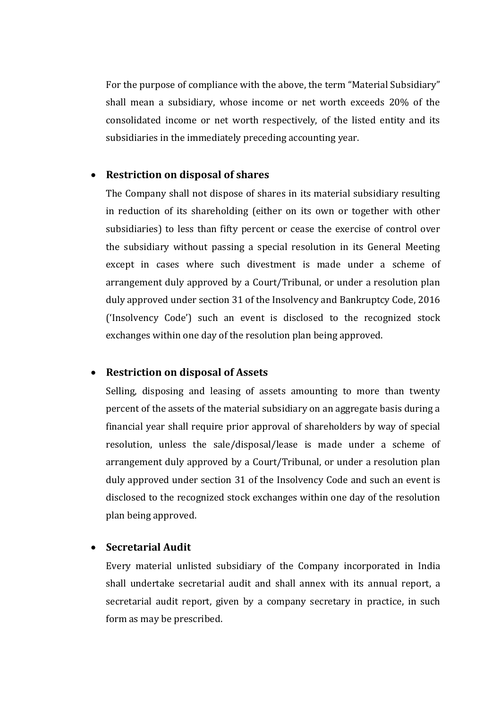For the purpose of compliance with the above, the term "Material Subsidiary" shall mean a subsidiary, whose income or net worth exceeds 20% of the consolidated income or net worth respectively, of the listed entity and its subsidiaries in the immediately preceding accounting year.

#### • **Restriction on disposal of shares**

The Company shall not dispose of shares in its material subsidiary resulting in reduction of its shareholding (either on its own or together with other subsidiaries) to less than fifty percent or cease the exercise of control over the subsidiary without passing a special resolution in its General Meeting except in cases where such divestment is made under a scheme of arrangement duly approved by a Court/Tribunal, or under a resolution plan duly approved under section 31 of the Insolvency and Bankruptcy Code, 2016 ('Insolvency Code') such an event is disclosed to the recognized stock exchanges within one day of the resolution plan being approved.

#### • **Restriction on disposal of Assets**

Selling, disposing and leasing of assets amounting to more than twenty percent of the assets of the material subsidiary on an aggregate basis during a financial year shall require prior approval of shareholders by way of special resolution, unless the sale/disposal/lease is made under a scheme of arrangement duly approved by a Court/Tribunal, or under a resolution plan duly approved under section 31 of the Insolvency Code and such an event is disclosed to the recognized stock exchanges within one day of the resolution plan being approved.

#### • **Secretarial Audit**

Every material unlisted subsidiary of the Company incorporated in India shall undertake secretarial audit and shall annex with its annual report, a secretarial audit report, given by a company secretary in practice, in such form as may be prescribed.